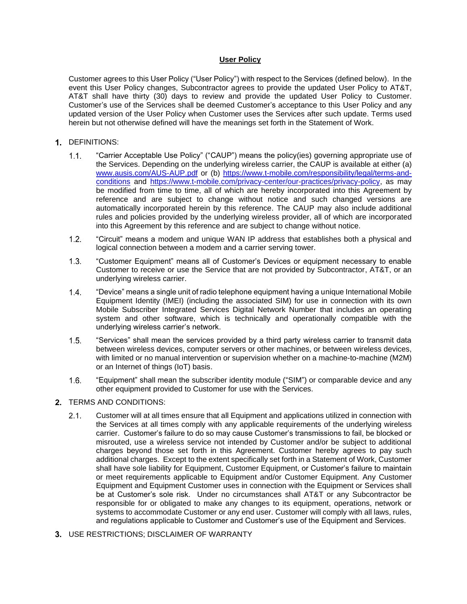## **User Policy**

Customer agrees to this User Policy ("User Policy") with respect to the Services (defined below). In the event this User Policy changes, Subcontractor agrees to provide the updated User Policy to AT&T, AT&T shall have thirty (30) days to review and provide the updated User Policy to Customer. Customer's use of the Services shall be deemed Customer's acceptance to this User Policy and any updated version of the User Policy when Customer uses the Services after such update. Terms used herein but not otherwise defined will have the meanings set forth in the Statement of Work.

## 1. DEFINITIONS:

- $1.1.$ "Carrier Acceptable Use Policy" ("CAUP") means the policy(ies) governing appropriate use of the Services. Depending on the underlying wireless carrier, the CAUP is available at either (a) [www.ausis.com/AUS-AUP.pdf](http://www.ausis.com/AUS-AUP.pdf) or (b) [https://www.t-mobile.com/responsibility/legal/terms-and](https://www.t-mobile.com/responsibility/legal/terms-and-conditions)[conditions](https://www.t-mobile.com/responsibility/legal/terms-and-conditions) and [https://www.t-mobile.com/privacy-center/our-practices/privacy-policy,](https://www.t-mobile.com/privacy-center/our-practices/privacy-policy) as may be modified from time to time, all of which are hereby incorporated into this Agreement by reference and are subject to change without notice and such changed versions are automatically incorporated herein by this reference. The CAUP may also include additional rules and policies provided by the underlying wireless provider, all of which are incorporated into this Agreement by this reference and are subject to change without notice.
- "Circuit" means a modem and unique WAN IP address that establishes both a physical and  $1.2.$ logical connection between a modem and a carrier serving tower.
- $1.3.$ "Customer Equipment" means all of Customer's Devices or equipment necessary to enable Customer to receive or use the Service that are not provided by Subcontractor, AT&T, or an underlying wireless carrier.
- $1.4.$ "Device" means a single unit of radio telephone equipment having a unique International Mobile Equipment Identity (IMEI) (including the associated SIM) for use in connection with its own Mobile Subscriber Integrated Services Digital Network Number that includes an operating system and other software, which is technically and operationally compatible with the underlying wireless carrier's network.
- "Services" shall mean the services provided by a third party wireless carrier to transmit data  $1.5.$ between wireless devices, computer servers or other machines, or between wireless devices, with limited or no manual intervention or supervision whether on a machine-to-machine (M2M) or an Internet of things (IoT) basis.
- "Equipment" shall mean the subscriber identity module ("SIM") or comparable device and any  $1.6.$ other equipment provided to Customer for use with the Services.
- 2. TERMS AND CONDITIONS:
	- $2.1$ Customer will at all times ensure that all Equipment and applications utilized in connection with the Services at all times comply with any applicable requirements of the underlying wireless carrier. Customer's failure to do so may cause Customer's transmissions to fail, be blocked or misrouted, use a wireless service not intended by Customer and/or be subject to additional charges beyond those set forth in this Agreement. Customer hereby agrees to pay such additional charges. Except to the extent specifically set forth in a Statement of Work, Customer shall have sole liability for Equipment, Customer Equipment, or Customer's failure to maintain or meet requirements applicable to Equipment and/or Customer Equipment. Any Customer Equipment and Equipment Customer uses in connection with the Equipment or Services shall be at Customer's sole risk. Under no circumstances shall AT&T or any Subcontractor be responsible for or obligated to make any changes to its equipment, operations, network or systems to accommodate Customer or any end user. Customer will comply with all laws, rules, and regulations applicable to Customer and Customer's use of the Equipment and Services.
- 3. USE RESTRICTIONS; DISCLAIMER OF WARRANTY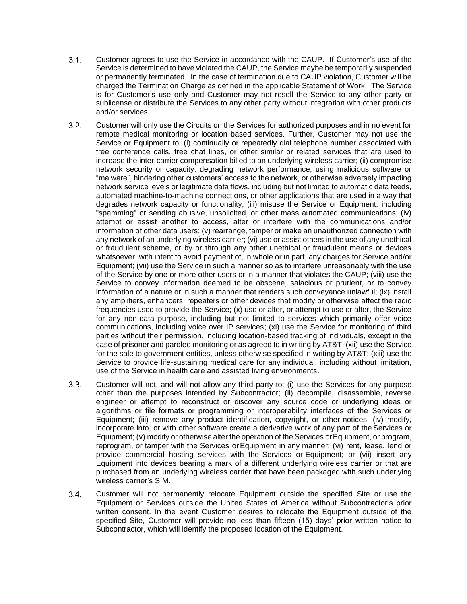- Customer agrees to use the Service in accordance with the CAUP. If Customer's use of the  $3.1.$ Service is determined to have violated the CAUP, the Service maybe be temporarily suspended or permanently terminated. In the case of termination due to CAUP violation, Customer will be charged the Termination Charge as defined in the applicable Statement of Work. The Service is for Customer's use only and Customer may not resell the Service to any other party or sublicense or distribute the Services to any other party without integration with other products and/or services.
- $3.2.$ Customer will only use the Circuits on the Services for authorized purposes and in no event for remote medical monitoring or location based services. Further, Customer may not use the Service or Equipment to: (i) continually or repeatedly dial telephone number associated with free conference calls, free chat lines, or other similar or related services that are used to increase the inter-carrier compensation billed to an underlying wireless carrier; (ii) compromise network security or capacity, degrading network performance, using malicious software or "malware", hindering other customers' access to the network, or otherwise adversely impacting network service levels or legitimate data flows, including but not limited to automatic data feeds, automated machine-to-machine connections, or other applications that are used in a way that degrades network capacity or functionality; (iii) misuse the Service or Equipment, including "spamming" or sending abusive, unsolicited, or other mass automated communications; (iv) attempt or assist another to access, alter or interfere with the communications and/or information of other data users; (v) rearrange, tamper or make an unauthorized connection with any network of an underlying wireless carrier; (vi) use or assist others in the use of any unethical or fraudulent scheme, or by or through any other unethical or fraudulent means or devices whatsoever, with intent to avoid payment of, in whole or in part, any charges for Service and/or Equipment; (vii) use the Service in such a manner so as to interfere unreasonably with the use of the Service by one or more other users or in a manner that violates the CAUP; (viii) use the Service to convey information deemed to be obscene, salacious or prurient, or to convey information of a nature or in such a manner that renders such conveyance unlawful; (ix) install any amplifiers, enhancers, repeaters or other devices that modify or otherwise affect the radio frequencies used to provide the Service; (x) use or alter, or attempt to use or alter, the Service for any non-data purpose, including but not limited to services which primarily offer voice communications, including voice over IP services; (xi) use the Service for monitoring of third parties without their permission, including location-based tracking of individuals, except in the case of prisoner and parolee monitoring or as agreed to in writing by AT&T; (xii) use the Service for the sale to government entities, unless otherwise specified in writing by AT&T; (xiii) use the Service to provide life-sustaining medical care for any individual, including without limitation, use of the Service in health care and assisted living environments.
- $3.3.$ Customer will not, and will not allow any third party to: (i) use the Services for any purpose other than the purposes intended by Subcontractor; (ii) decompile, disassemble, reverse engineer or attempt to reconstruct or discover any source code or underlying ideas or algorithms or file formats or programming or interoperability interfaces of the Services or Equipment; (iii) remove any product identification, copyright, or other notices; (iv) modify, incorporate into, or with other software create a derivative work of any part of the Services or Equipment; (v) modify or otherwise alter the operation of the Services orEquipment, or program, reprogram, or tamper with the Services or Equipment in any manner; (vi) rent, lease, lend or provide commercial hosting services with the Services or Equipment; or (vii) insert any Equipment into devices bearing a mark of a different underlying wireless carrier or that are purchased from an underlying wireless carrier that have been packaged with such underlying wireless carrier's SIM.
- $3.4.$ Customer will not permanently relocate Equipment outside the specified Site or use the Equipment or Services outside the United States of America without Subcontractor's prior written consent. In the event Customer desires to relocate the Equipment outside of the specified Site, Customer will provide no less than fifteen (15) days' prior written notice to Subcontractor, which will identify the proposed location of the Equipment.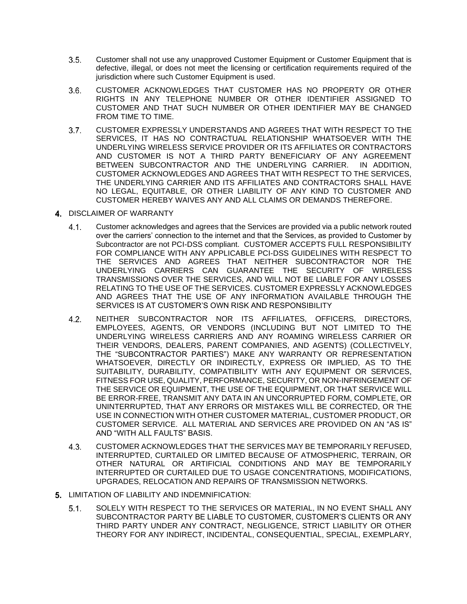- $3.5.$ Customer shall not use any unapproved Customer Equipment or Customer Equipment that is defective, illegal, or does not meet the licensing or certification requirements required of the jurisdiction where such Customer Equipment is used.
- CUSTOMER ACKNOWLEDGES THAT CUSTOMER HAS NO PROPERTY OR OTHER  $3.6.$ RIGHTS IN ANY TELEPHONE NUMBER OR OTHER IDENTIFIER ASSIGNED TO CUSTOMER AND THAT SUCH NUMBER OR OTHER IDENTIFIER MAY BE CHANGED FROM TIME TO TIME.
- $3.7.$ CUSTOMER EXPRESSLY UNDERSTANDS AND AGREES THAT WITH RESPECT TO THE SERVICES, IT HAS NO CONTRACTUAL RELATIONSHIP WHATSOEVER WITH THE UNDERLYING WIRELESS SERVICE PROVIDER OR ITS AFFILIATES OR CONTRACTORS AND CUSTOMER IS NOT A THIRD PARTY BENEFICIARY OF ANY AGREEMENT BETWEEN SUBCONTRACTOR AND THE UNDERLYING CARRIER. IN ADDITION, CUSTOMER ACKNOWLEDGES AND AGREES THAT WITH RESPECT TO THE SERVICES, THE UNDERLYING CARRIER AND ITS AFFILIATES AND CONTRACTORS SHALL HAVE NO LEGAL, EQUITABLE, OR OTHER LIABILITY OF ANY KIND TO CUSTOMER AND CUSTOMER HEREBY WAIVES ANY AND ALL CLAIMS OR DEMANDS THEREFORE.
- 4. DISCLAIMER OF WARRANTY
	- $4.1.$ Customer acknowledges and agrees that the Services are provided via a public network routed over the carriers' connection to the internet and that the Services, as provided to Customer by Subcontractor are not PCI-DSS compliant. CUSTOMER ACCEPTS FULL RESPONSIBILITY FOR COMPLIANCE WITH ANY APPLICABLE PCI-DSS GUIDELINES WITH RESPECT TO THE SERVICES AND AGREES THAT NEITHER SUBCONTRACTOR NOR THE UNDERLYING CARRIERS CAN GUARANTEE THE SECURITY OF WIRELESS TRANSMISSIONS OVER THE SERVICES, AND WILL NOT BE LIABLE FOR ANY LOSSES RELATING TO THE USE OF THE SERVICES. CUSTOMER EXPRESSLY ACKNOWLEDGES AND AGREES THAT THE USE OF ANY INFORMATION AVAILABLE THROUGH THE SERVICES IS AT CUSTOMER'S OWN RISK AND RESPONSIBILITY
	- NEITHER SUBCONTRACTOR NOR ITS AFFILIATES, OFFICERS, DIRECTORS,  $4.2.$ EMPLOYEES, AGENTS, OR VENDORS (INCLUDING BUT NOT LIMITED TO THE UNDERLYING WIRELESS CARRIERS AND ANY ROAMING WIRELESS CARRIER OR THEIR VENDORS, DEALERS, PARENT COMPANIES, AND AGENTS) (COLLECTIVELY, THE "SUBCONTRACTOR PARTIES") MAKE ANY WARRANTY OR REPRESENTATION WHATSOEVER, DIRECTLY OR INDIRECTLY, EXPRESS OR IMPLIED, AS TO THE SUITABILITY, DURABILITY, COMPATIBILITY WITH ANY EQUIPMENT OR SERVICES, FITNESS FOR USE, QUALITY, PERFORMANCE, SECURITY, OR NON-INFRINGEMENT OF THE SERVICE OR EQUIPMENT, THE USE OF THE EQUIPMENT, OR THAT SERVICE WILL BE ERROR-FREE, TRANSMIT ANY DATA IN AN UNCORRUPTED FORM, COMPLETE, OR UNINTERRUPTED, THAT ANY ERRORS OR MISTAKES WILL BE CORRECTED, OR THE USE IN CONNECTION WITH OTHER CUSTOMER MATERIAL, CUSTOMER PRODUCT, OR CUSTOMER SERVICE. ALL MATERIAL AND SERVICES ARE PROVIDED ON AN "AS IS" AND "WITH ALL FAULTS" BASIS.
	- CUSTOMER ACKNOWLEDGES THAT THE SERVICES MAY BE TEMPORARILY REFUSED,  $4.3.$ INTERRUPTED, CURTAILED OR LIMITED BECAUSE OF ATMOSPHERIC, TERRAIN, OR OTHER NATURAL OR ARTIFICIAL CONDITIONS AND MAY BE TEMPORARILY INTERRUPTED OR CURTAILED DUE TO USAGE CONCENTRATIONS, MODIFICATIONS, UPGRADES, RELOCATION AND REPAIRS OF TRANSMISSION NETWORKS.
- 5. LIMITATION OF LIABILITY AND INDEMNIFICATION:
	- SOLELY WITH RESPECT TO THE SERVICES OR MATERIAL, IN NO EVENT SHALL ANY  $5.1.$ SUBCONTRACTOR PARTY BE LIABLE TO CUSTOMER, CUSTOMER'S CLIENTS OR ANY THIRD PARTY UNDER ANY CONTRACT, NEGLIGENCE, STRICT LIABILITY OR OTHER THEORY FOR ANY INDIRECT, INCIDENTAL, CONSEQUENTIAL, SPECIAL, EXEMPLARY,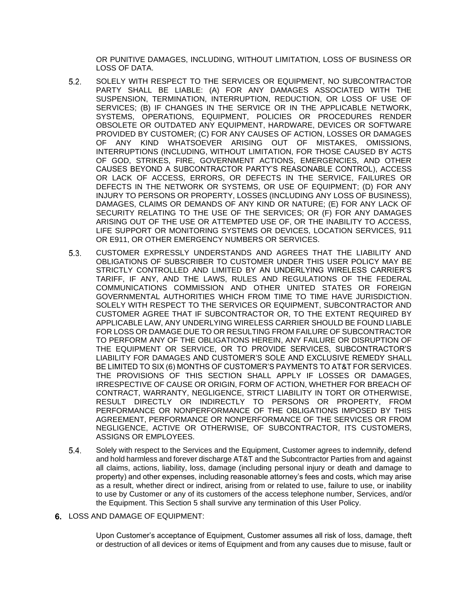OR PUNITIVE DAMAGES, INCLUDING, WITHOUT LIMITATION, LOSS OF BUSINESS OR LOSS OF DATA.

- $5.2.$ SOLELY WITH RESPECT TO THE SERVICES OR EQUIPMENT, NO SUBCONTRACTOR PARTY SHALL BE LIABLE: (A) FOR ANY DAMAGES ASSOCIATED WITH THE SUSPENSION, TERMINATION, INTERRUPTION, REDUCTION, OR LOSS OF USE OF SERVICES; (B) IF CHANGES IN THE SERVICE OR IN THE APPLICABLE NETWORK, SYSTEMS, OPERATIONS, EQUIPMENT, POLICIES OR PROCEDURES RENDER OBSOLETE OR OUTDATED ANY EQUIPMENT, HARDWARE, DEVICES OR SOFTWARE PROVIDED BY CUSTOMER; (C) FOR ANY CAUSES OF ACTION, LOSSES OR DAMAGES OF ANY KIND WHATSOEVER ARISING OUT OF MISTAKES, OMISSIONS, INTERRUPTIONS (INCLUDING, WITHOUT LIMITATION, FOR THOSE CAUSED BY ACTS OF GOD, STRIKES, FIRE, GOVERNMENT ACTIONS, EMERGENCIES, AND OTHER CAUSES BEYOND A SUBCONTRACTOR PARTY'S REASONABLE CONTROL), ACCESS OR LACK OF ACCESS, ERRORS, OR DEFECTS IN THE SERVICE, FAILURES OR DEFECTS IN THE NETWORK OR SYSTEMS, OR USE OF EQUIPMENT; (D) FOR ANY INJURY TO PERSONS OR PROPERTY, LOSSES (INCLUDING ANY LOSS OF BUSINESS), DAMAGES, CLAIMS OR DEMANDS OF ANY KIND OR NATURE; (E) FOR ANY LACK OF SECURITY RELATING TO THE USE OF THE SERVICES; OR (F) FOR ANY DAMAGES ARISING OUT OF THE USE OR ATTEMPTED USE OF, OR THE INABILITY TO ACCESS, LIFE SUPPORT OR MONITORING SYSTEMS OR DEVICES, LOCATION SERVICES, 911 OR E911, OR OTHER EMERGENCY NUMBERS OR SERVICES.
- $5.3.$ CUSTOMER EXPRESSLY UNDERSTANDS AND AGREES THAT THE LIABILITY AND OBLIGATIONS OF SUBSCRIBER TO CUSTOMER UNDER THIS USER POLICY MAY BE STRICTLY CONTROLLED AND LIMITED BY AN UNDERLYING WIRELESS CARRIER'S TARIFF, IF ANY, AND THE LAWS, RULES AND REGULATIONS OF THE FEDERAL COMMUNICATIONS COMMISSION AND OTHER UNITED STATES OR FOREIGN GOVERNMENTAL AUTHORITIES WHICH FROM TIME TO TIME HAVE JURISDICTION. SOLELY WITH RESPECT TO THE SERVICES OR EQUIPMENT, SUBCONTRACTOR AND CUSTOMER AGREE THAT IF SUBCONTRACTOR OR, TO THE EXTENT REQUIRED BY APPLICABLE LAW, ANY UNDERLYING WIRELESS CARRIER SHOULD BE FOUND LIABLE FOR LOSS OR DAMAGE DUE TO OR RESULTING FROM FAILURE OF SUBCONTRACTOR TO PERFORM ANY OF THE OBLIGATIONS HEREIN, ANY FAILURE OR DISRUPTION OF THE EQUIPMENT OR SERVICE, OR TO PROVIDE SERVICES, SUBCONTRACTOR'S LIABILITY FOR DAMAGES AND CUSTOMER'S SOLE AND EXCLUSIVE REMEDY SHALL BE LIMITED TO SIX (6) MONTHS OF CUSTOMER'S PAYMENTS TO AT&T FOR SERVICES. THE PROVISIONS OF THIS SECTION SHALL APPLY IF LOSSES OR DAMAGES, IRRESPECTIVE OF CAUSE OR ORIGIN, FORM OF ACTION, WHETHER FOR BREACH OF CONTRACT, WARRANTY, NEGLIGENCE, STRICT LIABILITY IN TORT OR OTHERWISE, RESULT DIRECTLY OR INDIRECTLY TO PERSONS OR PROPERTY, FROM PERFORMANCE OR NONPERFORMANCE OF THE OBLIGATIONS IMPOSED BY THIS AGREEMENT, PERFORMANCE OR NONPERFORMANCE OF THE SERVICES OR FROM NEGLIGENCE, ACTIVE OR OTHERWISE, OF SUBCONTRACTOR, ITS CUSTOMERS, ASSIGNS OR EMPLOYEES.
- $5.4.$ Solely with respect to the Services and the Equipment, Customer agrees to indemnify, defend and hold harmless and forever discharge AT&T and the Subcontractor Parties from and against all claims, actions, liability, loss, damage (including personal injury or death and damage to property) and other expenses, including reasonable attorney's fees and costs, which may arise as a result, whether direct or indirect, arising from or related to use, failure to use, or inability to use by Customer or any of its customers of the access telephone number, Services, and/or the Equipment. This Section 5 shall survive any termination of this User Policy.
- 6. LOSS AND DAMAGE OF EQUIPMENT:

Upon Customer's acceptance of Equipment, Customer assumes all risk of loss, damage, theft or destruction of all devices or items of Equipment and from any causes due to misuse, fault or